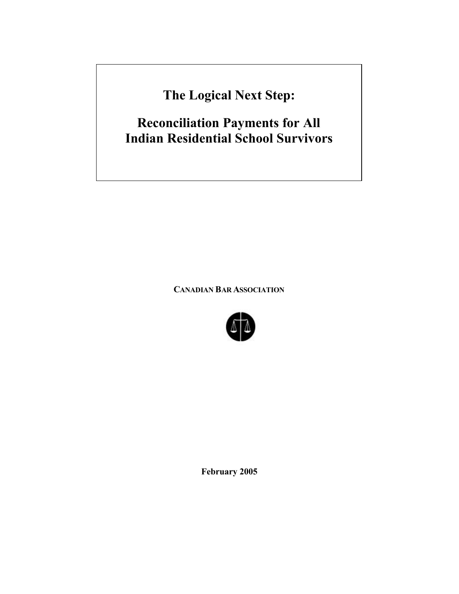**The Logical Next Step:**

**Reconciliation Payments for All Indian Residential School Survivors**

**CANADIAN BAR ASSOCIATION** 



**February 2005**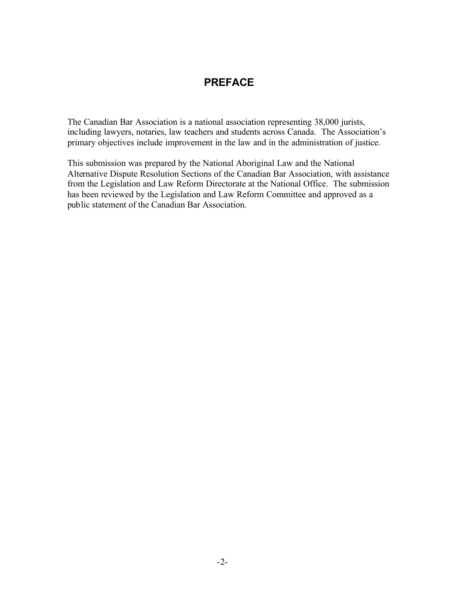## **PREFACE**

The Canadian Bar Association is a national association representing 38,000 jurists, including lawyers, notaries, law teachers and students across Canada. The Association's primary objectives include improvement in the law and in the administration of justice.

This submission was prepared by the National Aboriginal Law and the National Alternative Dispute Resolution Sections of the Canadian Bar Association, with assistance from the Legislation and Law Reform Directorate at the National Office. The submission has been reviewed by the Legislation and Law Reform Committee and approved as a public statement of the Canadian Bar Association.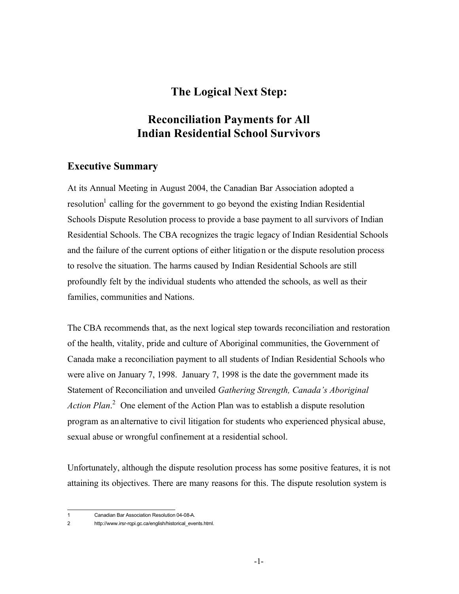# **The Logical Next Step:**

# **Reconciliation Payments for All Indian Residential School Survivors**

### **Executive Summary**

At its Annual Meeting in August 2004, the Canadian Bar Association adopted a resolution<sup>1</sup> calling for the government to go beyond the existing Indian Residential Schools Dispute Resolution process to provide a base payment to all survivors of Indian Residential Schools. The CBA recognizes the tragic legacy of Indian Residential Schools and the failure of the current options of either litigation or the dispute resolution process to resolve the situation. The harms caused by Indian Residential Schools are still profoundly felt by the individual students who attended the schools, as well as their families, communities and Nations.

The CBA recommends that, as the next logical step towards reconciliation and restoration of the health, vitality, pride and culture of Aboriginal communities, the Government of Canada make a reconciliation payment to all students of Indian Residential Schools who were alive on January 7, 1998. January 7, 1998 is the date the government made its Statement of Reconciliation and unveiled *Gathering Strength, Canada's Aboriginal Action Plan*. 2 One element of the Action Plan was to establish a dispute resolution program as an alternative to civil litigation for students who experienced physical abuse, sexual abuse or wrongful confinement at a residential school.

Unfortunately, although the dispute resolution process has some positive features, it is not attaining its objectives. There are many reasons for this. The dispute resolution system is

 $\overline{1}$ 1 Canadian Bar Association Resolution 04-08-A.

<sup>2</sup> http://www.irsr-rqpi.gc.ca/english/historical\_events.html.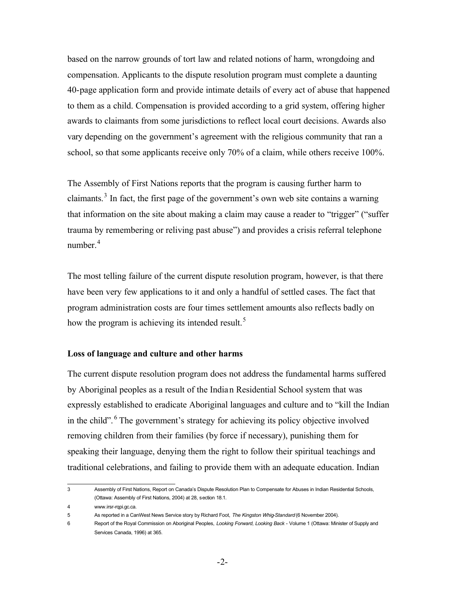based on the narrow grounds of tort law and related notions of harm, wrongdoing and compensation. Applicants to the dispute resolution program must complete a daunting 40-page application form and provide intimate details of every act of abuse that happened to them as a child. Compensation is provided according to a grid system, offering higher awards to claimants from some jurisdictions to reflect local court decisions. Awards also vary depending on the government's agreement with the religious community that ran a school, so that some applicants receive only 70% of a claim, while others receive 100%.

The Assembly of First Nations reports that the program is causing further harm to claimants.<sup>3</sup> In fact, the first page of the government's own web site contains a warning that information on the site about making a claim may cause a reader to "trigger" ("suffer trauma by remembering or reliving past abuse") and provides a crisis referral telephone number $4$ 

The most telling failure of the current dispute resolution program, however, is that there have been very few applications to it and only a handful of settled cases. The fact that program administration costs are four times settlement amounts also reflects badly on how the program is achieving its intended result.<sup>5</sup>

#### **Loss of language and culture and other harms**

The current dispute resolution program does not address the fundamental harms suffered by Aboriginal peoples as a result of the India n Residential School system that was expressly established to eradicate Aboriginal languages and culture and to "kill the Indian in the child". 6 The government's strategy for achieving its policy objective involved removing children from their families (by force if necessary), punishing them for speaking their language, denying them the right to follow their spiritual teachings and traditional celebrations, and failing to provide them with an adequate education. Indian

 $\overline{3}$ Assembly of First Nations, Report on Canada's Dispute Resolution Plan to Compensate for Abuses in Indian Residential Schools, (Ottawa: Assembly of First Nations, 2004) at 28, section 18.1.

<sup>4</sup> [www.irsr-rqpi.gc.ca.](www.irsr-rqpi.gc.ca)

<sup>5</sup> As reported in a CanWest News Service story by Richard Foot, *The Kingston Whig-Standard* (6 November 2004).

<sup>6</sup> Report of the Royal Commission on Aboriginal Peoples, *Looking Forward, Looking Back* - Volume 1 (Ottawa: Minister of Supply and Services Canada, 1996) at 365.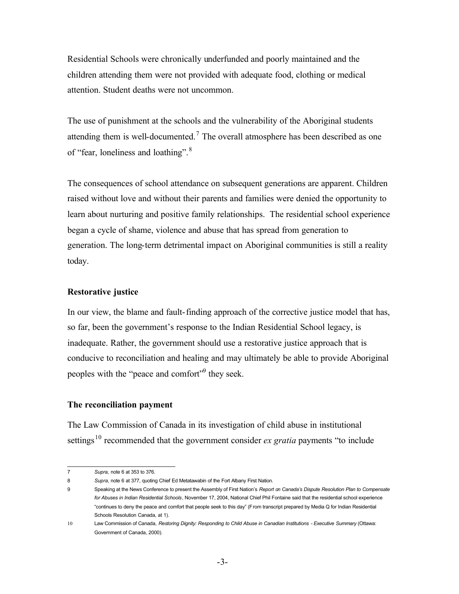Residential Schools were chronically underfunded and poorly maintained and the children attending them were not provided with adequate food, clothing or medical attention. Student deaths were not uncommon.

The use of punishment at the schools and the vulnerability of the Aboriginal students attending them is well-documented.<sup>7</sup> The overall atmosphere has been described as one of "fear, loneliness and loathing".<sup>8</sup>

The consequences of school attendance on subsequent generations are apparent. Children raised without love and without their parents and families were denied the opportunity to learn about nurturing and positive family relationships. The residential school experience began a cycle of shame, violence and abuse that has spread from generation to generation. The long-term detrimental impact on Aboriginal communities is still a reality today.

#### **Restorative justice**

In our view, the blame and fault-finding approach of the corrective justice model that has, so far, been the government's response to the Indian Residential School legacy, is inadequate. Rather, the government should use a restorative justice approach that is conducive to reconciliation and healing and may ultimately be able to provide Aboriginal peoples with the "peace and comfort"<sup>9</sup> they seek.

#### **The reconciliation payment**

The Law Commission of Canada in its investigation of child abuse in institutional settings<sup>10</sup> recommended that the government consider *ex gratia* payments "to include

 $\overline{7}$ 7 *Supra,* note 6 at 353 to 376*.*

<sup>8</sup> *Supra*, note 6 at 377, quoting Chief Ed Metatawabin of the Fort Albany First Nation.

<sup>9</sup> Speaking at the News Conference to present the Assembly of First Nation's *Report on Canada's Dispute Resolution Plan to Compensate for Abuses in Indian Residential Schools*, November 17, 2004, National Chief Phil Fontaine said that the residential school experience "continues to deny the peace and comfort that people seek to this day" (From transcript prepared by Media Q for Indian Residential Schools Resolution Canada, at 1).

<sup>10</sup>Law Commission of Canada, *Restoring Dignity: Responding to Child Abuse in Canadian Institutions - Executive Summary* (Ottawa: Government of Canada, 2000).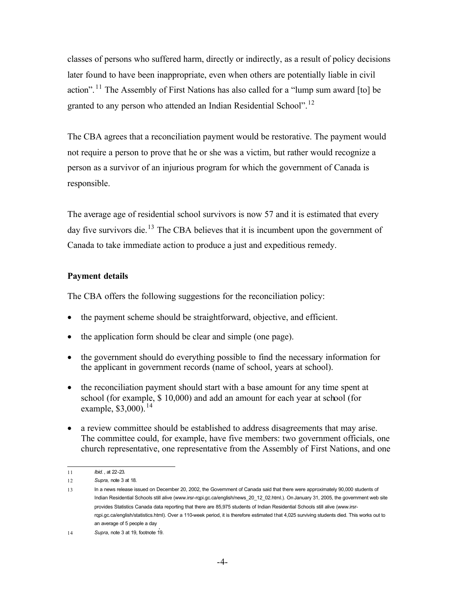granted to any person who attended an Indian Residential School".<sup>12</sup> classes of persons who suffered harm, directly or indirectly, as a result of policy decisions later found to have been inappropriate, even when others are potentially liable in civil action". 11 The Assembly of First Nations has also called for a "lump sum award [to] be

The CBA agrees that a reconciliation payment would be restorative. The payment would not require a person to prove that he or she was a victim, but rather would recognize a person as a survivor of an injurious program for which the government of Canada is responsible.

The average age of residential school survivors is now 57 and it is estimated that every day five survivors die.<sup>13</sup> The CBA believes that it is incumbent upon the government of Canada to take immediate action to produce a just and expeditious remedy.

#### **Payment details**

The CBA offers the following suggestions for the reconciliation policy:

- the payment scheme should be straightforward, objective, and efficient.
- the application form should be clear and simple (one page).
- the government should do everything possible to find the necessary information for the applicant in government records (name of school, years at school).
- the reconciliation payment should start with a base amount for any time spent at school (for example, \$ 10,000) and add an amount for each year at school (for example, \$3,000). 14
- a review committee should be established to address disagreements that may arise. The committee could, for example, have five members: two government officials, one church representative, one representative from the Assembly of First Nations, and one

 $11$ *Ibid.*, at 22-23.

<sup>12</sup> *Supra,* note 3 at 18.

<sup>13</sup> In a news release issued on December 20, 2002, the Government of Canada said that there were approximately 90,000 students of Indian Residential Schools still alive (www.irsr-rqpi.gc.ca/english/news 20\_12\_02.html.). On January 31, 2005, the government web site provides Statistics Canada data reporting that there are 85,975 students of Indian Residential Schools still alive (www.irsr[rqpi.gc.ca/english/statistics.html\)](www.irsr-rqpi.gc.ca/english/statistics.html). Over a 110-week period, it is therefore estimated that 4,025 surviving students died. This works out to an average of 5 people a day . 14 *Supra*, note 3 at 19, footnote 19.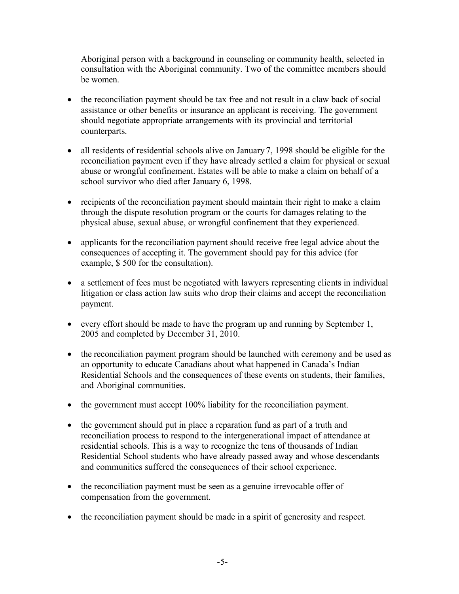Aboriginal person with a background in counseling or community health, selected in consultation with the Aboriginal community. Two of the committee members should be women.

- the reconciliation payment should be tax free and not result in a claw back of social assistance or other benefits or insurance an applicant is receiving. The government should negotiate appropriate arrangements with its provincial and territorial counterparts.
- all residents of residential schools alive on January 7, 1998 should be eligible for the reconciliation payment even if they have already settled a claim for physical or sexual abuse or wrongful confinement. Estates will be able to make a claim on behalf of a school survivor who died after January 6, 1998.
- recipients of the reconciliation payment should maintain their right to make a claim through the dispute resolution program or the courts for damages relating to the physical abuse, sexual abuse, or wrongful confinement that they experienced.
- applicants for the reconciliation payment should receive free legal advice about the consequences of accepting it. The government should pay for this advice (for example, \$ 500 for the consultation).
- a settlement of fees must be negotiated with lawyers representing clients in individual litigation or class action law suits who drop their claims and accept the reconciliation payment.
- every effort should be made to have the program up and running by September 1, 2005 and completed by December 31, 2010.
- the reconciliation payment program should be launched with ceremony and be used as an opportunity to educate Canadians about what happened in Canada's Indian Residential Schools and the consequences of these events on students, their families, and Aboriginal communities.
- the government must accept 100% liability for the reconciliation payment.
- the government should put in place a reparation fund as part of a truth and reconciliation process to respond to the intergenerational impact of attendance at residential schools. This is a way to recognize the tens of thousands of Indian Residential School students who have already passed away and whose descendants and communities suffered the consequences of their school experience.
- the reconciliation payment must be seen as a genuine irrevocable offer of compensation from the government.
- the reconciliation payment should be made in a spirit of generosity and respect.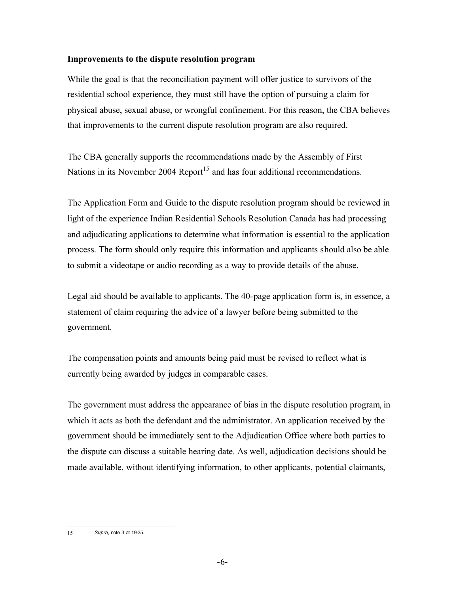#### **Improvements to the dispute resolution program**

While the goal is that the reconciliation payment will offer justice to survivors of the residential school experience, they must still have the option of pursuing a claim for physical abuse, sexual abuse, or wrongful confinement. For this reason, the CBA believes that improvements to the current dispute resolution program are also required.

The CBA generally supports the recommendations made by the Assembly of First Nations in its November 2004 Report<sup>15</sup> and has four additional recommendations.

The Application Form and Guide to the dispute resolution program should be reviewed in light of the experience Indian Residential Schools Resolution Canada has had processing and adjudicating applications to determine what information is essential to the application process. The form should only require this information and applicants should also be able to submit a videotape or audio recording as a way to provide details of the abuse.

Legal aid should be available to applicants. The 40-page application form is, in essence, a statement of claim requiring the advice of a lawyer before being submitted to the government.

The compensation points and amounts being paid must be revised to reflect what is currently being awarded by judges in comparable cases.

The government must address the appearance of bias in the dispute resolution program, in which it acts as both the defendant and the administrator. An application received by the government should be immediately sent to the Adjudication Office where both parties to the dispute can discuss a suitable hearing date. As well, adjudication decisions should be made available, without identifying information, to other applicants, potential claimants,

 $15$ 15 *Supra*, note 3 at 19-35.